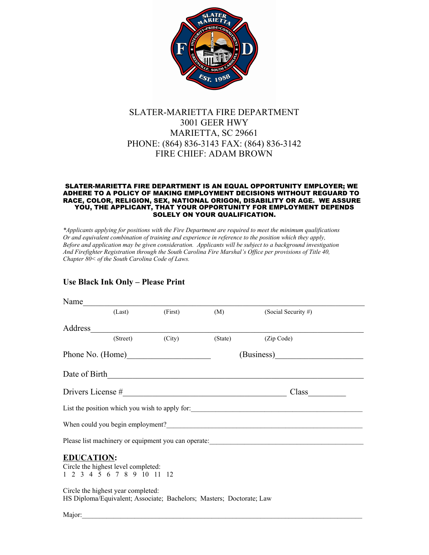

# SLATER-MARIETTA FIRE DEPARTMENT 3001 GEER HWY MARIETTA, SC 29661 PHONE: (864) 836-3143 FAX: (864) 836-3142 FIRE CHIEF: ADAM BROWN

#### SLATER-MARIETTA FIRE DEPARTMENT IS AN EQUAL OPPORTUNITY EMPLOYER; WE ADHERE TO A POLICY OF MAKING EMPLOYMENT DECISIONS WITHOUT REGUARD TO RACE, COLOR, RELIGION, SEX, NATIONAL ORIGON, DISABILITY OR AGE. WE ASSURE YOU, THE APPLICANT, THAT YOUR OPPORTUNITY FOR EMPLOYMENT DEPENDS SOLELY ON YOUR QUALIFICATION.

*\*Applicants applying for positions with the Fire Department are required to meet the minimum qualifications Or and equivalent combination of training and experience in reference to the position which they apply, Before and application may be given consideration. Applicants will be subject to a background investigation And Firefighter Registration through the South Carolina Fire Marshal's Office per provisions of Title 40, Chapter 80< of the South Carolina Code of Laws.*

#### **Use Black Ink Only – Please Print**

| Name $\frac{1}{\sqrt{1-\frac{1}{2}}\cdot\frac{1}{\sqrt{1-\frac{1}{2}}}}$ |                                                                   |         |                                                                      |                     |  |
|--------------------------------------------------------------------------|-------------------------------------------------------------------|---------|----------------------------------------------------------------------|---------------------|--|
|                                                                          | (Last)                                                            | (First) | (M)                                                                  | (Social Security #) |  |
|                                                                          |                                                                   |         |                                                                      |                     |  |
|                                                                          | (Street)                                                          |         | (City) (State)                                                       | (Zip Code)          |  |
| Phone No. (Home)                                                         |                                                                   |         |                                                                      |                     |  |
|                                                                          |                                                                   |         |                                                                      |                     |  |
|                                                                          |                                                                   |         |                                                                      |                     |  |
|                                                                          |                                                                   |         |                                                                      |                     |  |
|                                                                          |                                                                   |         |                                                                      |                     |  |
|                                                                          |                                                                   |         |                                                                      |                     |  |
| <b>EDUCATION:</b>                                                        | Circle the highest level completed:<br>1 2 3 4 5 6 7 8 9 10 11 12 |         |                                                                      |                     |  |
|                                                                          | Circle the highest year completed:                                |         | HS Diploma/Equivalent; Associate; Bachelors; Masters; Doctorate; Law |                     |  |

Major:\_\_\_\_\_\_\_\_\_\_\_\_\_\_\_\_\_\_\_\_\_\_\_\_\_\_\_\_\_\_\_\_\_\_\_\_\_\_\_\_\_\_\_\_\_\_\_\_\_\_\_\_\_\_\_\_\_\_\_\_\_\_\_\_\_\_\_\_\_\_\_\_\_\_\_\_\_\_\_\_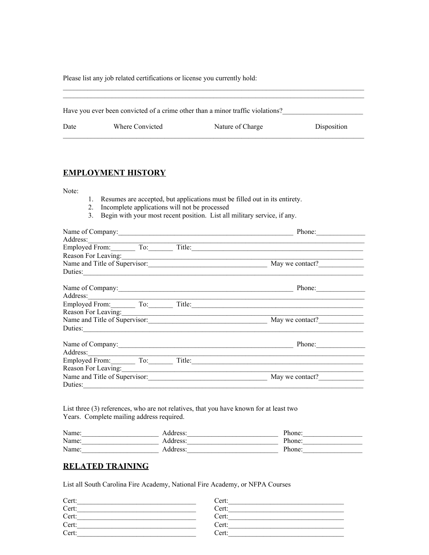Please list any job related certifications or license you currently hold:

| Have you ever been convicted of a crime other than a minor traffic violations? |                 |                  |             |  |  |
|--------------------------------------------------------------------------------|-----------------|------------------|-------------|--|--|
| Date                                                                           | Where Convicted | Nature of Charge | Disposition |  |  |

 $\mathcal{L}_\mathcal{L} = \{ \mathcal{L}_\mathcal{L} = \{ \mathcal{L}_\mathcal{L} = \{ \mathcal{L}_\mathcal{L} = \{ \mathcal{L}_\mathcal{L} = \{ \mathcal{L}_\mathcal{L} = \{ \mathcal{L}_\mathcal{L} = \{ \mathcal{L}_\mathcal{L} = \{ \mathcal{L}_\mathcal{L} = \{ \mathcal{L}_\mathcal{L} = \{ \mathcal{L}_\mathcal{L} = \{ \mathcal{L}_\mathcal{L} = \{ \mathcal{L}_\mathcal{L} = \{ \mathcal{L}_\mathcal{L} = \{ \mathcal{L}_\mathcal{$  $\mathcal{L}_\mathcal{L} = \{ \mathcal{L}_\mathcal{L} = \{ \mathcal{L}_\mathcal{L} = \{ \mathcal{L}_\mathcal{L} = \{ \mathcal{L}_\mathcal{L} = \{ \mathcal{L}_\mathcal{L} = \{ \mathcal{L}_\mathcal{L} = \{ \mathcal{L}_\mathcal{L} = \{ \mathcal{L}_\mathcal{L} = \{ \mathcal{L}_\mathcal{L} = \{ \mathcal{L}_\mathcal{L} = \{ \mathcal{L}_\mathcal{L} = \{ \mathcal{L}_\mathcal{L} = \{ \mathcal{L}_\mathcal{L} = \{ \mathcal{L}_\mathcal{$ 

### **EMPLOYMENT HISTORY**

Note:

- 1. Resumes are accepted, but applications must be filled out in its entirety.
- 2. Incomplete applications will not be processed
- 3. Begin with your most recent position. List all military service, if any.

| Name of Company:    |                                               | Phone:                                        |
|---------------------|-----------------------------------------------|-----------------------------------------------|
| Address:            |                                               | Employed From: To: Title: Title:              |
| Reason For Leaving: |                                               |                                               |
|                     |                                               | Name and Title of Supervisor: May we contact? |
| Duties:             |                                               |                                               |
| Name of Company:    |                                               | Phone:                                        |
| Address:            |                                               |                                               |
|                     |                                               | Employed From: To: Title: Title:              |
| Reason For Leaving: |                                               |                                               |
|                     | Name and Title of Supervisor: May we contact? |                                               |
| Duties:             |                                               |                                               |
| Name of Company:    |                                               | Phone:                                        |
|                     |                                               |                                               |
|                     |                                               | Address:<br>Employed From: To: Title: Title:  |
| Reason For Leaving: |                                               |                                               |
|                     | Name and Title of Supervisor: May we contact? |                                               |
| Duties:             |                                               |                                               |

List three (3) references, who are not relatives, that you have known for at least two Years. Complete mailing address required.

| Name: | Address: | Phone: |
|-------|----------|--------|
| Name: | Address: | Phone: |
| Name: | Address: | Phone: |

### **RELATED TRAINING**

List all South Carolina Fire Academy, National Fire Academy, or NFPA Courses

| Cert: | Cert: |
|-------|-------|
| Cert: | Cert: |
| Cert: | Cert: |
| Cert: | Cert: |
| Cert: | Cert: |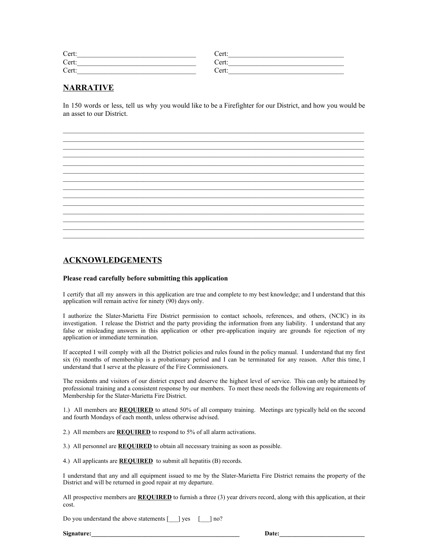| $\sim$<br>`ert∙<br>UU. | ∴`art∙<br>u.                  |
|------------------------|-------------------------------|
| $\sim$<br>Cert:        | ⌒<br>∵`ort∙∶<br>∿⊥ւ.          |
| Cert:                  | $\sim$<br>$'$ ort $'$<br>∿ււ. |

## **NARRATIVE**

In 150 words or less, tell us why you would like to be a Firefighter for our District, and how you would be an asset to our District.



### **ACKNOWLEDGEMENTS**

#### **Please read carefully before submitting this application**

I certify that all my answers in this application are true and complete to my best knowledge; and I understand that this application will remain active for ninety (90) days only.

I authorize the Slater-Marietta Fire District permission to contact schools, references, and others, (NCIC) in its investigation. I release the District and the party providing the information from any liability. I understand that any false or misleading answers in this application or other pre-application inquiry are grounds for rejection of my application or immediate termination.

If accepted I will comply with all the District policies and rules found in the policy manual. I understand that my first six (6) months of membership is a probationary period and I can be terminated for any reason. After this time, I understand that I serve at the pleasure of the Fire Commissioners.

The residents and visitors of our district expect and deserve the highest level of service. This can only be attained by professional training and a consistent response by our members. To meet these needs the following are requirements of Membership for the Slater-Marietta Fire District.

1.) All members are **REQUIRED** to attend 50% of all company training. Meetings are typically held on the second and fourth Mondays of each month, unless otherwise advised.

2.) All members are **REQUIRED** to respond to 5% of all alarm activations.

3.) All personnel are **REQUIRED** to obtain all necessary training as soon as possible.

4.) All applicants are **REQUIRED** to submit all hepatitis (B) records.

I understand that any and all equipment issued to me by the Slater-Marietta Fire District remains the property of the District and will be returned in good repair at my departure.

All prospective members are **REQUIRED** to furnish a three (3) year drivers record, along with this application, at their cost.

Do you understand the above statements  $\lceil \quad \rceil$  yes  $\lceil \quad \rceil$  no?

**Signature:\_\_\_\_\_\_\_\_\_\_\_\_\_\_\_\_\_\_\_\_\_\_\_\_\_\_\_\_\_\_\_\_\_\_\_\_\_\_\_\_\_\_\_\_\_\_\_ Date:\_\_\_\_\_\_\_\_\_\_\_\_\_\_\_\_\_\_\_\_\_\_\_\_\_\_\_**